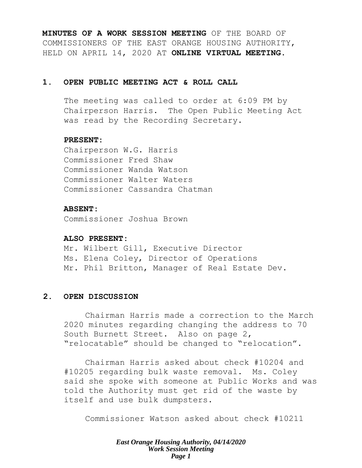**MINUTES OF A WORK SESSION MEETING** OF THE BOARD OF COMMISSIONERS OF THE EAST ORANGE HOUSING AUTHORITY, HELD ON APRIL 14, 2020 AT **ONLINE VIRTUAL MEETING**.

# **1. OPEN PUBLIC MEETING ACT & ROLL CALL**

The meeting was called to order at 6:09 PM by Chairperson Harris. The Open Public Meeting Act was read by the Recording Secretary.

# **PRESENT:**

Chairperson W.G. Harris Commissioner Fred Shaw Commissioner Wanda Watson Commissioner Walter Waters Commissioner Cassandra Chatman

# **ABSENT:**

Commissioner Joshua Brown

#### **ALSO PRESENT:**

Mr. Wilbert Gill, Executive Director Ms. Elena Coley, Director of Operations Mr. Phil Britton, Manager of Real Estate Dev.

# **2. OPEN DISCUSSION**

Chairman Harris made a correction to the March 2020 minutes regarding changing the address to 70 South Burnett Street. Also on page 2, "relocatable" should be changed to "relocation".

Chairman Harris asked about check #10204 and #10205 regarding bulk waste removal. Ms. Coley said she spoke with someone at Public Works and was told the Authority must get rid of the waste by itself and use bulk dumpsters.

Commissioner Watson asked about check #10211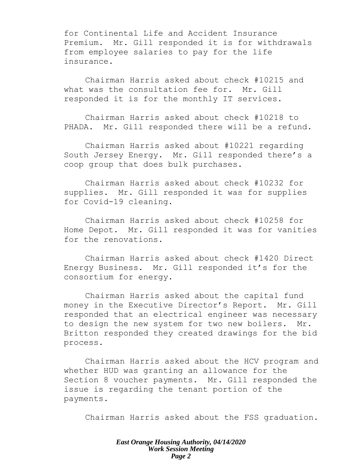for Continental Life and Accident Insurance Premium. Mr. Gill responded it is for withdrawals from employee salaries to pay for the life insurance.

Chairman Harris asked about check #10215 and what was the consultation fee for. Mr. Gill responded it is for the monthly IT services.

Chairman Harris asked about check #10218 to PHADA. Mr. Gill responded there will be a refund.

Chairman Harris asked about #10221 regarding South Jersey Energy. Mr. Gill responded there's a coop group that does bulk purchases.

Chairman Harris asked about check #10232 for supplies. Mr. Gill responded it was for supplies for Covid-19 cleaning.

Chairman Harris asked about check #10258 for Home Depot. Mr. Gill responded it was for vanities for the renovations.

Chairman Harris asked about check #1420 Direct Energy Business. Mr. Gill responded it's for the consortium for energy.

Chairman Harris asked about the capital fund money in the Executive Director's Report. Mr. Gill responded that an electrical engineer was necessary to design the new system for two new boilers. Mr. Britton responded they created drawings for the bid process.

Chairman Harris asked about the HCV program and whether HUD was granting an allowance for the Section 8 voucher payments. Mr. Gill responded the issue is regarding the tenant portion of the payments.

Chairman Harris asked about the FSS graduation.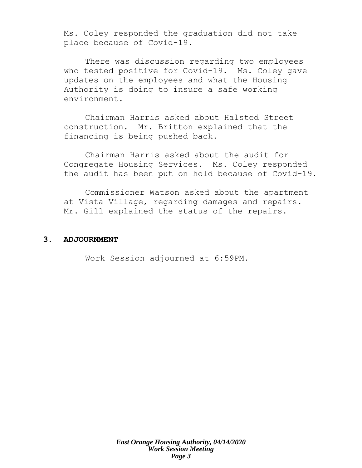Ms. Coley responded the graduation did not take place because of Covid-19.

There was discussion regarding two employees who tested positive for Covid-19. Ms. Coley gave updates on the employees and what the Housing Authority is doing to insure a safe working environment.

Chairman Harris asked about Halsted Street construction. Mr. Britton explained that the financing is being pushed back.

Chairman Harris asked about the audit for Congregate Housing Services. Ms. Coley responded the audit has been put on hold because of Covid-19.

Commissioner Watson asked about the apartment at Vista Village, regarding damages and repairs. Mr. Gill explained the status of the repairs.

### **3. ADJOURNMENT**

Work Session adjourned at 6:59PM.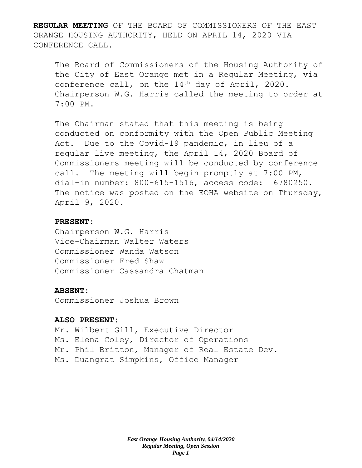**REGULAR MEETING** OF THE BOARD OF COMMISSIONERS OF THE EAST ORANGE HOUSING AUTHORITY, HELD ON APRIL 14, 2020 VIA CONFERENCE CALL.

The Board of Commissioners of the Housing Authority of the City of East Orange met in a Regular Meeting, via conference call, on the 14<sup>th</sup> day of April, 2020. Chairperson W.G. Harris called the meeting to order at 7:00 PM.

The Chairman stated that this meeting is being conducted on conformity with the Open Public Meeting Act. Due to the Covid-19 pandemic, in lieu of a regular live meeting, the April 14, 2020 Board of Commissioners meeting will be conducted by conference call. The meeting will begin promptly at 7:00 PM, dial-in number: 800-615-1516, access code: 6780250. The notice was posted on the EOHA website on Thursday, April 9, 2020.

# **PRESENT:**

Chairperson W.G. Harris Vice-Chairman Walter Waters Commissioner Wanda Watson Commissioner Fred Shaw Commissioner Cassandra Chatman

#### **ABSENT:**

Commissioner Joshua Brown

#### **ALSO PRESENT:**

Mr. Wilbert Gill, Executive Director Ms. Elena Coley, Director of Operations Mr. Phil Britton, Manager of Real Estate Dev. Ms. Duangrat Simpkins, Office Manager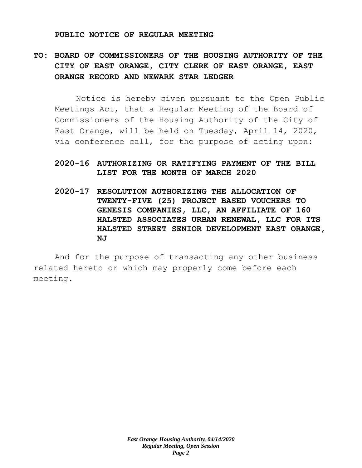#### **PUBLIC NOTICE OF REGULAR MEETING**

# **TO: BOARD OF COMMISSIONERS OF THE HOUSING AUTHORITY OF THE CITY OF EAST ORANGE, CITY CLERK OF EAST ORANGE, EAST ORANGE RECORD AND NEWARK STAR LEDGER**

Notice is hereby given pursuant to the Open Public Meetings Act, that a Regular Meeting of the Board of Commissioners of the Housing Authority of the City of East Orange, will be held on Tuesday, April 14, 2020, via conference call, for the purpose of acting upon:

# **2020-16 AUTHORIZING OR RATIFYING PAYMENT OF THE BILL LIST FOR THE MONTH OF MARCH 2020**

**2020-17 RESOLUTION AUTHORIZING THE ALLOCATION OF TWENTY-FIVE (25) PROJECT BASED VOUCHERS TO GENESIS COMPANIES, LLC, AN AFFILIATE OF 160 HALSTED ASSOCIATES URBAN RENEWAL, LLC FOR ITS HALSTED STREET SENIOR DEVELOPMENT EAST ORANGE, NJ**

And for the purpose of transacting any other business related hereto or which may properly come before each meeting.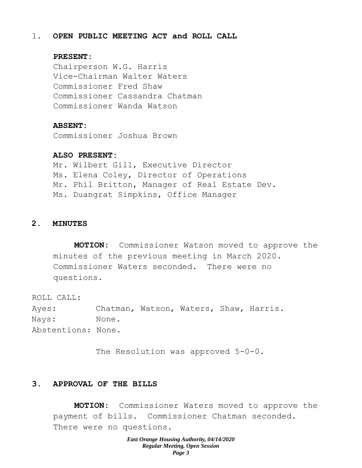# 1. **OPEN PUBLIC MEETING ACT and ROLL CALL**

#### **PRESENT:**

Chairperson W.G. Harris Vice-Chairman Walter Waters Commissioner Fred Shaw Commissioner Cassandra Chatman Commissioner Wanda Watson

#### **ABSENT:**

Commissioner Joshua Brown

#### **ALSO PRESENT:**

Mr. Wilbert Gill, Executive Director Ms. Elena Coley, Director of Operations Mr. Phil Britton, Manager of Real Estate Dev. Ms. Duangrat Simpkins, Office Manager

#### **2. MINUTES**

**MOTION:** Commissioner Watson moved to approve the minutes of the previous meeting in March 2020. Commissioner Waters seconded. There were no questions.

ROLL CALL: Ayes: Chatman, Watson, Waters, Shaw, Harris. Nays: None. Abstentions: None.

The Resolution was approved 5-0-0.

# **3. APPROVAL OF THE BILLS**

**MOTION:** Commissioner Waters moved to approve the payment of bills. Commissioner Chatman seconded. There were no questions.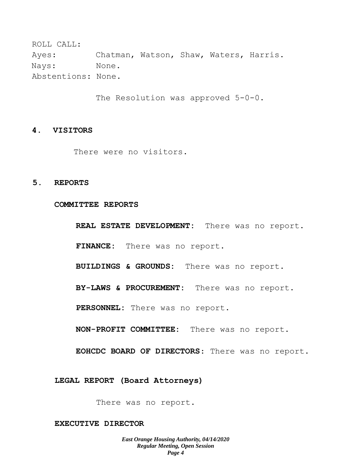ROLL CALL: Ayes: Chatman, Watson, Shaw, Waters, Harris. Nays: None. Abstentions: None.

The Resolution was approved 5-0-0.

# **4. VISITORS**

There were no visitors.

#### **5. REPORTS**

**COMMITTEE REPORTS**

**REAL ESTATE DEVELOPMENT:** There was no report.

**FINANCE:** There was no report.

**BUILDINGS & GROUNDS:** There was no report.

**BY-LAWS & PROCUREMENT:** There was no report.

**PERSONNEL:** There was no report.

**NON-PROFIT COMMITTEE:** There was no report.

**EOHCDC BOARD OF DIRECTORS**: There was no report.

**LEGAL REPORT (Board Attorneys)**

There was no report.

**EXECUTIVE DIRECTOR**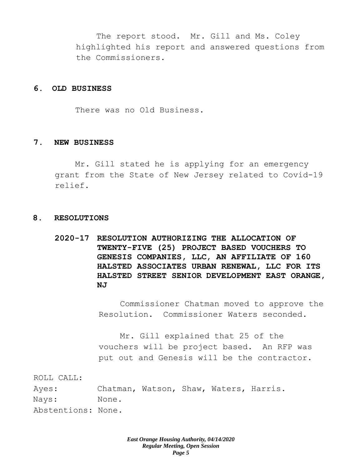The report stood. Mr. Gill and Ms. Coley highlighted his report and answered questions from the Commissioners.

# **6. OLD BUSINESS**

There was no Old Business.

## **7. NEW BUSINESS**

Mr. Gill stated he is applying for an emergency grant from the State of New Jersey related to Covid-19 relief.

#### **8. RESOLUTIONS**

**2020-17 RESOLUTION AUTHORIZING THE ALLOCATION OF TWENTY-FIVE (25) PROJECT BASED VOUCHERS TO GENESIS COMPANIES, LLC, AN AFFILIATE OF 160 HALSTED ASSOCIATES URBAN RENEWAL, LLC FOR ITS HALSTED STREET SENIOR DEVELOPMENT EAST ORANGE, NJ**

> Commissioner Chatman moved to approve the Resolution. Commissioner Waters seconded.

Mr. Gill explained that 25 of the vouchers will be project based. An RFP was put out and Genesis will be the contractor.

ROLL CALL:

Ayes: Chatman, Watson, Shaw, Waters, Harris. Nays: None. Abstentions: None.